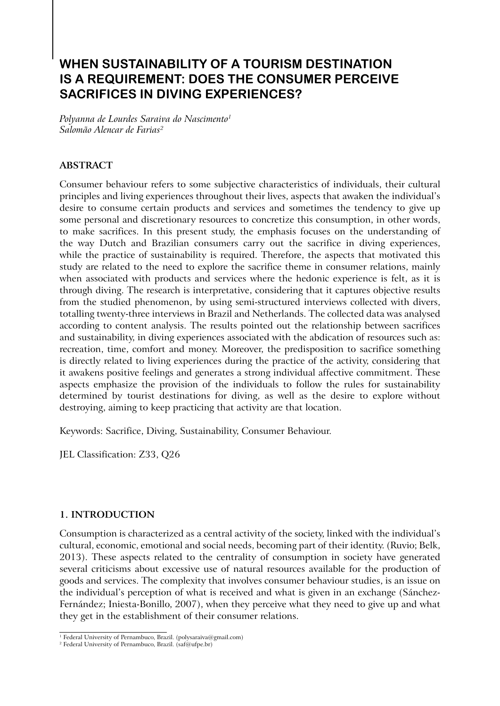# **When sustainability of a tourism destination is a requirement: Does the consumer perceive sacrifices in diving experiences?**

*Polyanna de Lourdes Saraiva do Nascimento1 Salomão Alencar de Farias2*

# **Abstract**

Consumer behaviour refers to some subjective characteristics of individuals, their cultural principles and living experiences throughout their lives, aspects that awaken the individual's desire to consume certain products and services and sometimes the tendency to give up some personal and discretionary resources to concretize this consumption, in other words, to make sacrifices. In this present study, the emphasis focuses on the understanding of the way Dutch and Brazilian consumers carry out the sacrifice in diving experiences, while the practice of sustainability is required. Therefore, the aspects that motivated this study are related to the need to explore the sacrifice theme in consumer relations, mainly when associated with products and services where the hedonic experience is felt, as it is through diving. The research is interpretative, considering that it captures objective results from the studied phenomenon, by using semi-structured interviews collected with divers, totalling twenty-three interviews in Brazil and Netherlands. The collected data was analysed according to content analysis. The results pointed out the relationship between sacrifices and sustainability, in diving experiences associated with the abdication of resources such as: recreation, time, comfort and money. Moreover, the predisposition to sacrifice something is directly related to living experiences during the practice of the activity, considering that it awakens positive feelings and generates a strong individual affective commitment. These aspects emphasize the provision of the individuals to follow the rules for sustainability determined by tourist destinations for diving, as well as the desire to explore without destroying, aiming to keep practicing that activity are that location.

Keywords: Sacrifice, Diving, Sustainability, Consumer Behaviour.

JEL Classification: Z33, Q26

# **1. Introduction**

Consumption is characterized as a central activity of the society, linked with the individual's cultural, economic, emotional and social needs, becoming part of their identity. (Ruvio; Belk, 2013). These aspects related to the centrality of consumption in society have generated several criticisms about excessive use of natural resources available for the production of goods and services. The complexity that involves consumer behaviour studies, is an issue on the individual's perception of what is received and what is given in an exchange (Sánchez-Fernández; Iniesta-Bonillo, 2007), when they perceive what they need to give up and what they get in the establishment of their consumer relations.

<sup>&</sup>lt;sup>1</sup> Federal University of Pernambuco, Brazil. (polysaraiva@gmail.com)

<sup>&</sup>lt;sup>2</sup> Federal University of Pernambuco, Brazil. (saf@ufpe.br)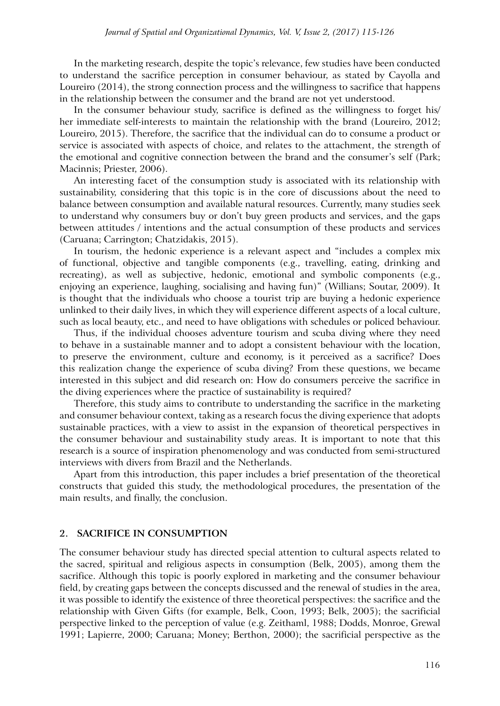In the marketing research, despite the topic's relevance, few studies have been conducted to understand the sacrifice perception in consumer behaviour, as stated by Cayolla and Loureiro (2014), the strong connection process and the willingness to sacrifice that happens in the relationship between the consumer and the brand are not yet understood.

In the consumer behaviour study, sacrifice is defined as the willingness to forget his/ her immediate self-interests to maintain the relationship with the brand (Loureiro, 2012; Loureiro, 2015). Therefore, the sacrifice that the individual can do to consume a product or service is associated with aspects of choice, and relates to the attachment, the strength of the emotional and cognitive connection between the brand and the consumer's self (Park; Macinnis; Priester, 2006).

An interesting facet of the consumption study is associated with its relationship with sustainability, considering that this topic is in the core of discussions about the need to balance between consumption and available natural resources. Currently, many studies seek to understand why consumers buy or don't buy green products and services, and the gaps between attitudes / intentions and the actual consumption of these products and services (Caruana; Carrington; Chatzidakis, 2015).

In tourism, the hedonic experience is a relevant aspect and "includes a complex mix of functional, objective and tangible components (e.g., travelling, eating, drinking and recreating), as well as subjective, hedonic, emotional and symbolic components (e.g., enjoying an experience, laughing, socialising and having fun)" (Willians; Soutar, 2009). It is thought that the individuals who choose a tourist trip are buying a hedonic experience unlinked to their daily lives, in which they will experience different aspects of a local culture, such as local beauty, etc., and need to have obligations with schedules or policed behaviour.

Thus, if the individual chooses adventure tourism and scuba diving where they need to behave in a sustainable manner and to adopt a consistent behaviour with the location, to preserve the environment, culture and economy, is it perceived as a sacrifice? Does this realization change the experience of scuba diving? From these questions, we became interested in this subject and did research on: How do consumers perceive the sacrifice in the diving experiences where the practice of sustainability is required?

Therefore, this study aims to contribute to understanding the sacrifice in the marketing and consumer behaviour context, taking as a research focus the diving experience that adopts sustainable practices, with a view to assist in the expansion of theoretical perspectives in the consumer behaviour and sustainability study areas. It is important to note that this research is a source of inspiration phenomenology and was conducted from semi-structured interviews with divers from Brazil and the Netherlands.

Apart from this introduction, this paper includes a brief presentation of the theoretical constructs that guided this study, the methodological procedures, the presentation of the main results, and finally, the conclusion.

#### **2. Sacrifice in consumption**

The consumer behaviour study has directed special attention to cultural aspects related to the sacred, spiritual and religious aspects in consumption (Belk, 2005), among them the sacrifice. Although this topic is poorly explored in marketing and the consumer behaviour field, by creating gaps between the concepts discussed and the renewal of studies in the area, it was possible to identify the existence of three theoretical perspectives: the sacrifice and the relationship with Given Gifts (for example, Belk, Coon, 1993; Belk, 2005); the sacrificial perspective linked to the perception of value (e.g. Zeithaml, 1988; Dodds, Monroe, Grewal 1991; Lapierre, 2000; Caruana; Money; Berthon, 2000); the sacrificial perspective as the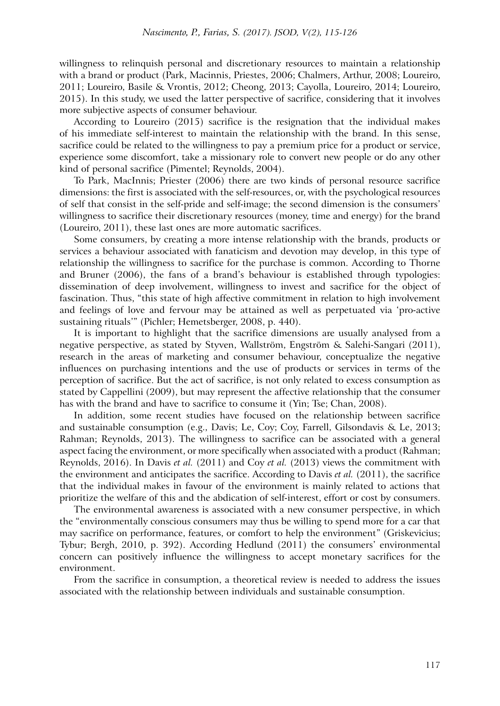willingness to relinquish personal and discretionary resources to maintain a relationship with a brand or product (Park, Macinnis, Priestes, 2006; Chalmers, Arthur, 2008; Loureiro, 2011; Loureiro, Basile & Vrontis, 2012; Cheong, 2013; Cayolla, Loureiro, 2014; Loureiro, 2015). In this study, we used the latter perspective of sacrifice, considering that it involves more subjective aspects of consumer behaviour.

According to Loureiro (2015) sacrifice is the resignation that the individual makes of his immediate self-interest to maintain the relationship with the brand. In this sense, sacrifice could be related to the willingness to pay a premium price for a product or service, experience some discomfort, take a missionary role to convert new people or do any other kind of personal sacrifice (Pimentel; Reynolds, 2004).

To Park, MacInnis; Priester (2006) there are two kinds of personal resource sacrifice dimensions: the first is associated with the self-resources, or, with the psychological resources of self that consist in the self-pride and self-image; the second dimension is the consumers' willingness to sacrifice their discretionary resources (money, time and energy) for the brand (Loureiro, 2011), these last ones are more automatic sacrifices.

Some consumers, by creating a more intense relationship with the brands, products or services a behaviour associated with fanaticism and devotion may develop, in this type of relationship the willingness to sacrifice for the purchase is common. According to Thorne and Bruner (2006), the fans of a brand's behaviour is established through typologies: dissemination of deep involvement, willingness to invest and sacrifice for the object of fascination. Thus, "this state of high affective commitment in relation to high involvement and feelings of love and fervour may be attained as well as perpetuated via 'pro-active sustaining rituals'" (Pichler; Hemetsberger, 2008, p. 440).

It is important to highlight that the sacrifice dimensions are usually analysed from a negative perspective, as stated by Styven, Wallström, Engström & Salehi-Sangari (2011), research in the areas of marketing and consumer behaviour, conceptualize the negative influences on purchasing intentions and the use of products or services in terms of the perception of sacrifice. But the act of sacrifice, is not only related to excess consumption as stated by Cappellini (2009), but may represent the affective relationship that the consumer has with the brand and have to sacrifice to consume it (Yin; Tse; Chan, 2008).

In addition, some recent studies have focused on the relationship between sacrifice and sustainable consumption (e.g., Davis; Le, Coy; Coy, Farrell, Gilsondavis & Le, 2013; Rahman; Reynolds, 2013). The willingness to sacrifice can be associated with a general aspect facing the environment, or more specifically when associated with a product (Rahman; Reynolds, 2016). In Davis *et al.* (2011) and Coy *et al.* (2013) views the commitment with the environment and anticipates the sacrifice. According to Davis *et al.* (2011), the sacrifice that the individual makes in favour of the environment is mainly related to actions that prioritize the welfare of this and the abdication of self-interest, effort or cost by consumers.

The environmental awareness is associated with a new consumer perspective, in which the "environmentally conscious consumers may thus be willing to spend more for a car that may sacrifice on performance, features, or comfort to help the environment" (Griskevicius; Tybur; Bergh, 2010, p. 392). According Hedlund (2011) the consumers' environmental concern can positively influence the willingness to accept monetary sacrifices for the environment.

From the sacrifice in consumption, a theoretical review is needed to address the issues associated with the relationship between individuals and sustainable consumption.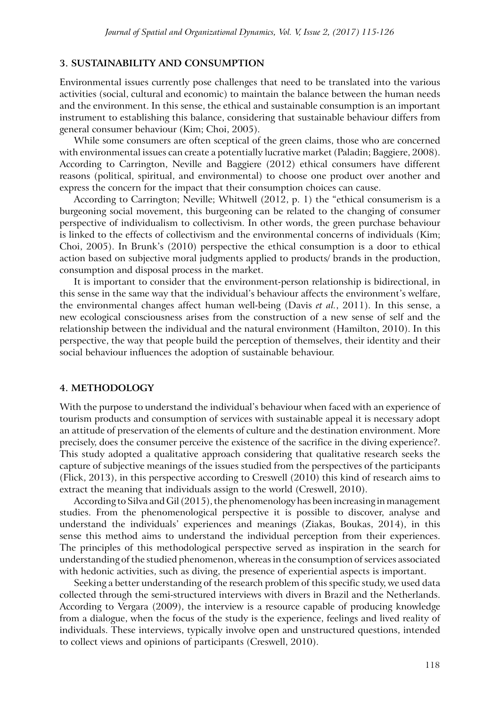## **3. Sustainability and consumption**

Environmental issues currently pose challenges that need to be translated into the various activities (social, cultural and economic) to maintain the balance between the human needs and the environment. In this sense, the ethical and sustainable consumption is an important instrument to establishing this balance, considering that sustainable behaviour differs from general consumer behaviour (Kim; Choi, 2005).

While some consumers are often sceptical of the green claims, those who are concerned with environmental issues can create a potentially lucrative market (Paladin; Baggiere, 2008). According to Carrington, Neville and Baggiere (2012) ethical consumers have different reasons (political, spiritual, and environmental) to choose one product over another and express the concern for the impact that their consumption choices can cause.

According to Carrington; Neville; Whitwell (2012, p. 1) the "ethical consumerism is a burgeoning social movement, this burgeoning can be related to the changing of consumer perspective of individualism to collectivism. In other words, the green purchase behaviour is linked to the effects of collectivism and the environmental concerns of individuals (Kim; Choi, 2005). In Brunk's (2010) perspective the ethical consumption is a door to ethical action based on subjective moral judgments applied to products/ brands in the production, consumption and disposal process in the market.

It is important to consider that the environment-person relationship is bidirectional, in this sense in the same way that the individual's behaviour affects the environment's welfare, the environmental changes affect human well-being (Davis *et al.*, 2011). In this sense, a new ecological consciousness arises from the construction of a new sense of self and the relationship between the individual and the natural environment (Hamilton, 2010). In this perspective, the way that people build the perception of themselves, their identity and their social behaviour influences the adoption of sustainable behaviour.

#### **4. Methodology**

With the purpose to understand the individual's behaviour when faced with an experience of tourism products and consumption of services with sustainable appeal it is necessary adopt an attitude of preservation of the elements of culture and the destination environment. More precisely, does the consumer perceive the existence of the sacrifice in the diving experience?. This study adopted a qualitative approach considering that qualitative research seeks the capture of subjective meanings of the issues studied from the perspectives of the participants (Flick, 2013), in this perspective according to Creswell (2010) this kind of research aims to extract the meaning that individuals assign to the world (Creswell, 2010).

According to Silva and Gil (2015), the phenomenology has been increasing in management studies. From the phenomenological perspective it is possible to discover, analyse and understand the individuals' experiences and meanings (Ziakas, Boukas, 2014), in this sense this method aims to understand the individual perception from their experiences. The principles of this methodological perspective served as inspiration in the search for understanding of the studied phenomenon, whereas in the consumption of services associated with hedonic activities, such as diving, the presence of experiential aspects is important.

Seeking a better understanding of the research problem of this specific study, we used data collected through the semi-structured interviews with divers in Brazil and the Netherlands. According to Vergara (2009), the interview is a resource capable of producing knowledge from a dialogue, when the focus of the study is the experience, feelings and lived reality of individuals. These interviews, typically involve open and unstructured questions, intended to collect views and opinions of participants (Creswell, 2010).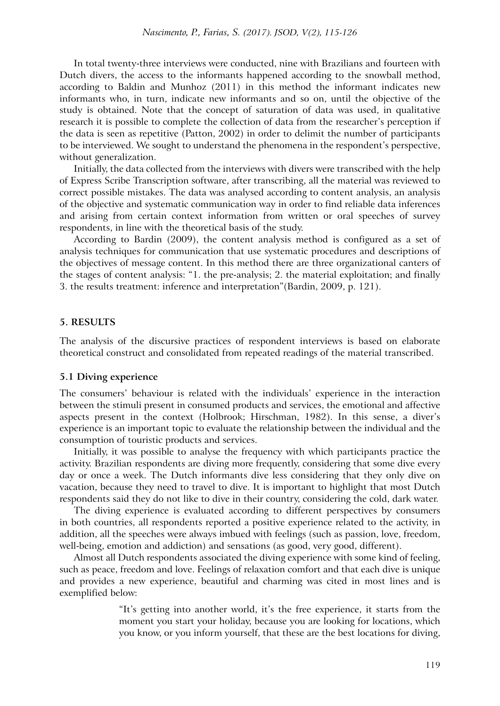In total twenty-three interviews were conducted, nine with Brazilians and fourteen with Dutch divers, the access to the informants happened according to the snowball method, according to Baldin and Munhoz (2011) in this method the informant indicates new informants who, in turn, indicate new informants and so on, until the objective of the study is obtained. Note that the concept of saturation of data was used, in qualitative research it is possible to complete the collection of data from the researcher's perception if the data is seen as repetitive (Patton, 2002) in order to delimit the number of participants to be interviewed. We sought to understand the phenomena in the respondent's perspective, without generalization.

Initially, the data collected from the interviews with divers were transcribed with the help of Express Scribe Transcription software, after transcribing, all the material was reviewed to correct possible mistakes. The data was analysed according to content analysis, an analysis of the objective and systematic communication way in order to find reliable data inferences and arising from certain context information from written or oral speeches of survey respondents, in line with the theoretical basis of the study.

According to Bardin (2009), the content analysis method is configured as a set of analysis techniques for communication that use systematic procedures and descriptions of the objectives of message content. In this method there are three organizational canters of the stages of content analysis: "1. the pre-analysis; 2. the material exploitation; and finally 3. the results treatment: inference and interpretation"(Bardin, 2009, p. 121).

#### **5. Results**

The analysis of the discursive practices of respondent interviews is based on elaborate theoretical construct and consolidated from repeated readings of the material transcribed.

#### **5.1 Diving experience**

The consumers' behaviour is related with the individuals' experience in the interaction between the stimuli present in consumed products and services, the emotional and affective aspects present in the context (Holbrook; Hirschman, 1982). In this sense, a diver's experience is an important topic to evaluate the relationship between the individual and the consumption of touristic products and services.

Initially, it was possible to analyse the frequency with which participants practice the activity. Brazilian respondents are diving more frequently, considering that some dive every day or once a week. The Dutch informants dive less considering that they only dive on vacation, because they need to travel to dive. It is important to highlight that most Dutch respondents said they do not like to dive in their country, considering the cold, dark water.

The diving experience is evaluated according to different perspectives by consumers in both countries, all respondents reported a positive experience related to the activity, in addition, all the speeches were always imbued with feelings (such as passion, love, freedom, well-being, emotion and addiction) and sensations (as good, very good, different).

Almost all Dutch respondents associated the diving experience with some kind of feeling, such as peace, freedom and love. Feelings of relaxation comfort and that each dive is unique and provides a new experience, beautiful and charming was cited in most lines and is exemplified below:

> "It's getting into another world, it's the free experience, it starts from the moment you start your holiday, because you are looking for locations, which you know, or you inform yourself, that these are the best locations for diving,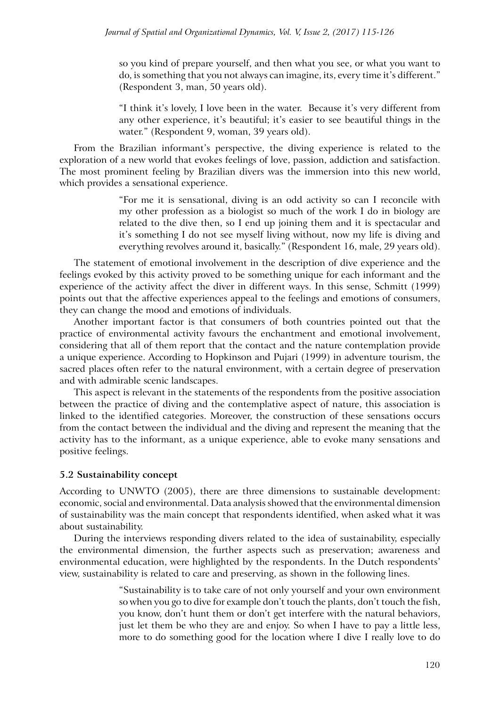so you kind of prepare yourself, and then what you see, or what you want to do, is something that you not always can imagine, its, every time it's different." (Respondent 3, man, 50 years old).

"I think it's lovely, I love been in the water. Because it's very different from any other experience, it's beautiful; it's easier to see beautiful things in the water." (Respondent 9, woman, 39 years old).

From the Brazilian informant's perspective, the diving experience is related to the exploration of a new world that evokes feelings of love, passion, addiction and satisfaction. The most prominent feeling by Brazilian divers was the immersion into this new world, which provides a sensational experience.

> "For me it is sensational, diving is an odd activity so can I reconcile with my other profession as a biologist so much of the work I do in biology are related to the dive then, so I end up joining them and it is spectacular and it's something I do not see myself living without, now my life is diving and everything revolves around it, basically." (Respondent 16, male, 29 years old).

The statement of emotional involvement in the description of dive experience and the feelings evoked by this activity proved to be something unique for each informant and the experience of the activity affect the diver in different ways. In this sense, Schmitt (1999) points out that the affective experiences appeal to the feelings and emotions of consumers, they can change the mood and emotions of individuals.

Another important factor is that consumers of both countries pointed out that the practice of environmental activity favours the enchantment and emotional involvement, considering that all of them report that the contact and the nature contemplation provide a unique experience. According to Hopkinson and Pujari (1999) in adventure tourism, the sacred places often refer to the natural environment, with a certain degree of preservation and with admirable scenic landscapes.

This aspect is relevant in the statements of the respondents from the positive association between the practice of diving and the contemplative aspect of nature, this association is linked to the identified categories. Moreover, the construction of these sensations occurs from the contact between the individual and the diving and represent the meaning that the activity has to the informant, as a unique experience, able to evoke many sensations and positive feelings.

# **5.2 Sustainability concept**

According to UNWTO (2005), there are three dimensions to sustainable development: economic, social and environmental. Data analysis showed that the environmental dimension of sustainability was the main concept that respondents identified, when asked what it was about sustainability.

During the interviews responding divers related to the idea of sustainability, especially the environmental dimension, the further aspects such as preservation; awareness and environmental education, were highlighted by the respondents. In the Dutch respondents' view, sustainability is related to care and preserving, as shown in the following lines.

> "Sustainability is to take care of not only yourself and your own environment so when you go to dive for example don't touch the plants, don't touch the fish, you know, don't hunt them or don't get interfere with the natural behaviors, just let them be who they are and enjoy. So when I have to pay a little less, more to do something good for the location where I dive I really love to do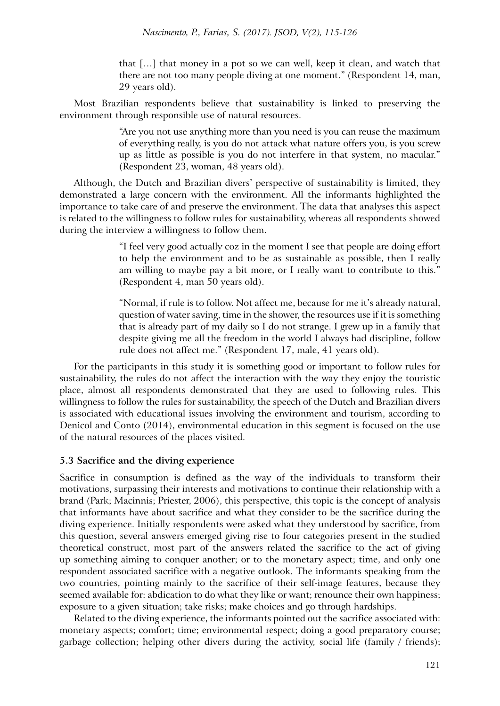that […] that money in a pot so we can well, keep it clean, and watch that there are not too many people diving at one moment." (Respondent 14, man, 29 years old).

Most Brazilian respondents believe that sustainability is linked to preserving the environment through responsible use of natural resources.

> "Are you not use anything more than you need is you can reuse the maximum of everything really, is you do not attack what nature offers you, is you screw up as little as possible is you do not interfere in that system, no macular." (Respondent 23, woman, 48 years old).

Although, the Dutch and Brazilian divers' perspective of sustainability is limited, they demonstrated a large concern with the environment. All the informants highlighted the importance to take care of and preserve the environment. The data that analyses this aspect is related to the willingness to follow rules for sustainability, whereas all respondents showed during the interview a willingness to follow them.

> "I feel very good actually coz in the moment I see that people are doing effort to help the environment and to be as sustainable as possible, then I really am willing to maybe pay a bit more, or I really want to contribute to this." (Respondent 4, man 50 years old).

> "Normal, if rule is to follow. Not affect me, because for me it's already natural, question of water saving, time in the shower, the resources use if it is something that is already part of my daily so I do not strange. I grew up in a family that despite giving me all the freedom in the world I always had discipline, follow rule does not affect me." (Respondent 17, male, 41 years old).

For the participants in this study it is something good or important to follow rules for sustainability, the rules do not affect the interaction with the way they enjoy the touristic place, almost all respondents demonstrated that they are used to following rules. This willingness to follow the rules for sustainability, the speech of the Dutch and Brazilian divers is associated with educational issues involving the environment and tourism, according to Denicol and Conto (2014), environmental education in this segment is focused on the use of the natural resources of the places visited.

# **5.3 Sacrifice and the diving experience**

Sacrifice in consumption is defined as the way of the individuals to transform their motivations, surpassing their interests and motivations to continue their relationship with a brand (Park; Macinnis; Priester, 2006), this perspective, this topic is the concept of analysis that informants have about sacrifice and what they consider to be the sacrifice during the diving experience. Initially respondents were asked what they understood by sacrifice, from this question, several answers emerged giving rise to four categories present in the studied theoretical construct, most part of the answers related the sacrifice to the act of giving up something aiming to conquer another; or to the monetary aspect; time, and only one respondent associated sacrifice with a negative outlook. The informants speaking from the two countries, pointing mainly to the sacrifice of their self-image features, because they seemed available for: abdication to do what they like or want; renounce their own happiness; exposure to a given situation; take risks; make choices and go through hardships.

Related to the diving experience, the informants pointed out the sacrifice associated with: monetary aspects; comfort; time; environmental respect; doing a good preparatory course; garbage collection; helping other divers during the activity, social life (family / friends);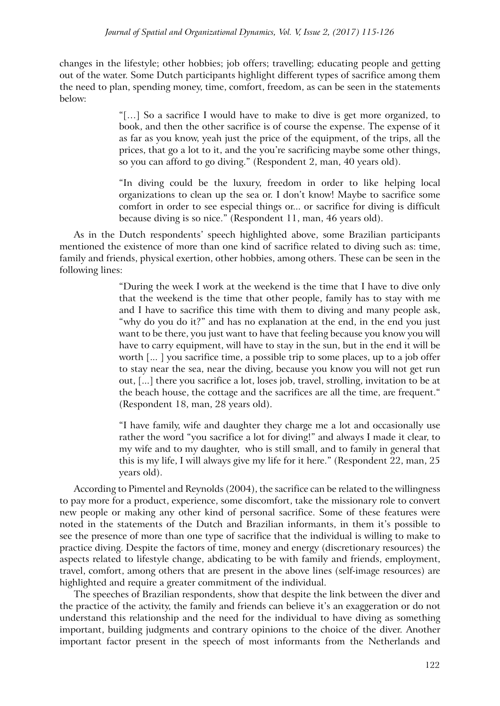changes in the lifestyle; other hobbies; job offers; travelling; educating people and getting out of the water. Some Dutch participants highlight different types of sacrifice among them the need to plan, spending money, time, comfort, freedom, as can be seen in the statements below:

> "[…] So a sacrifice I would have to make to dive is get more organized, to book, and then the other sacrifice is of course the expense. The expense of it as far as you know, yeah just the price of the equipment, of the trips, all the prices, that go a lot to it, and the you're sacrificing maybe some other things, so you can afford to go diving." (Respondent 2, man, 40 years old).

> "In diving could be the luxury, freedom in order to like helping local organizations to clean up the sea or. I don't know! Maybe to sacrifice some comfort in order to see especial things or... or sacrifice for diving is difficult because diving is so nice." (Respondent 11, man, 46 years old).

As in the Dutch respondents' speech highlighted above, some Brazilian participants mentioned the existence of more than one kind of sacrifice related to diving such as: time, family and friends, physical exertion, other hobbies, among others. These can be seen in the following lines:

> "During the week I work at the weekend is the time that I have to dive only that the weekend is the time that other people, family has to stay with me and I have to sacrifice this time with them to diving and many people ask, "why do you do it?" and has no explanation at the end, in the end you just want to be there, you just want to have that feeling because you know you will have to carry equipment, will have to stay in the sun, but in the end it will be worth [... ] you sacrifice time, a possible trip to some places, up to a job offer to stay near the sea, near the diving, because you know you will not get run out, [...] there you sacrifice a lot, loses job, travel, strolling, invitation to be at the beach house, the cottage and the sacrifices are all the time, are frequent." (Respondent 18, man, 28 years old).

> "I have family, wife and daughter they charge me a lot and occasionally use rather the word "you sacrifice a lot for diving!" and always I made it clear, to my wife and to my daughter, who is still small, and to family in general that this is my life, I will always give my life for it here." (Respondent 22, man, 25 years old).

According to Pimentel and Reynolds (2004), the sacrifice can be related to the willingness to pay more for a product, experience, some discomfort, take the missionary role to convert new people or making any other kind of personal sacrifice. Some of these features were noted in the statements of the Dutch and Brazilian informants, in them it's possible to see the presence of more than one type of sacrifice that the individual is willing to make to practice diving. Despite the factors of time, money and energy (discretionary resources) the aspects related to lifestyle change, abdicating to be with family and friends, employment, travel, comfort, among others that are present in the above lines (self-image resources) are highlighted and require a greater commitment of the individual.

The speeches of Brazilian respondents, show that despite the link between the diver and the practice of the activity, the family and friends can believe it's an exaggeration or do not understand this relationship and the need for the individual to have diving as something important, building judgments and contrary opinions to the choice of the diver. Another important factor present in the speech of most informants from the Netherlands and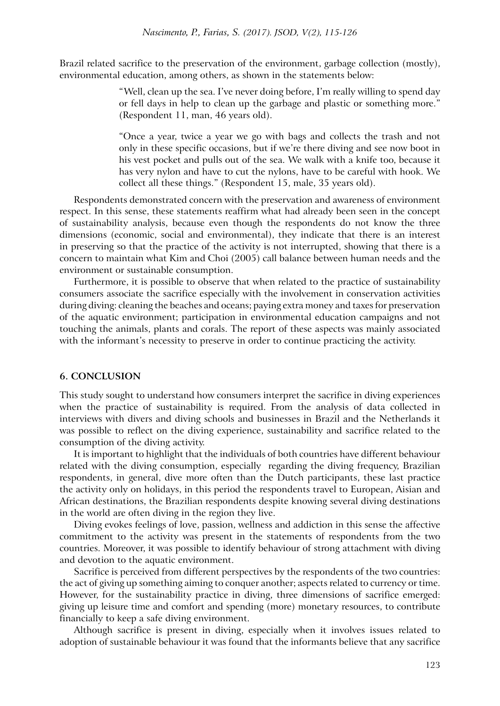Brazil related sacrifice to the preservation of the environment, garbage collection (mostly), environmental education, among others, as shown in the statements below:

> "Well, clean up the sea. I've never doing before, I'm really willing to spend day or fell days in help to clean up the garbage and plastic or something more." (Respondent 11, man, 46 years old).

> "Once a year, twice a year we go with bags and collects the trash and not only in these specific occasions, but if we're there diving and see now boot in his vest pocket and pulls out of the sea. We walk with a knife too, because it has very nylon and have to cut the nylons, have to be careful with hook. We collect all these things." (Respondent 15, male, 35 years old).

Respondents demonstrated concern with the preservation and awareness of environment respect. In this sense, these statements reaffirm what had already been seen in the concept of sustainability analysis, because even though the respondents do not know the three dimensions (economic, social and environmental), they indicate that there is an interest in preserving so that the practice of the activity is not interrupted, showing that there is a concern to maintain what Kim and Choi (2005) call balance between human needs and the environment or sustainable consumption.

Furthermore, it is possible to observe that when related to the practice of sustainability consumers associate the sacrifice especially with the involvement in conservation activities during diving: cleaning the beaches and oceans; paying extra money and taxes for preservation of the aquatic environment; participation in environmental education campaigns and not touching the animals, plants and corals. The report of these aspects was mainly associated with the informant's necessity to preserve in order to continue practicing the activity.

### **6. Conclusion**

This study sought to understand how consumers interpret the sacrifice in diving experiences when the practice of sustainability is required. From the analysis of data collected in interviews with divers and diving schools and businesses in Brazil and the Netherlands it was possible to reflect on the diving experience, sustainability and sacrifice related to the consumption of the diving activity.

It is important to highlight that the individuals of both countries have different behaviour related with the diving consumption, especially regarding the diving frequency, Brazilian respondents, in general, dive more often than the Dutch participants, these last practice the activity only on holidays, in this period the respondents travel to European, Aisian and African destinations, the Brazilian respondents despite knowing several diving destinations in the world are often diving in the region they live.

Diving evokes feelings of love, passion, wellness and addiction in this sense the affective commitment to the activity was present in the statements of respondents from the two countries. Moreover, it was possible to identify behaviour of strong attachment with diving and devotion to the aquatic environment.

Sacrifice is perceived from different perspectives by the respondents of the two countries: the act of giving up something aiming to conquer another; aspects related to currency or time. However, for the sustainability practice in diving, three dimensions of sacrifice emerged: giving up leisure time and comfort and spending (more) monetary resources, to contribute financially to keep a safe diving environment.

Although sacrifice is present in diving, especially when it involves issues related to adoption of sustainable behaviour it was found that the informants believe that any sacrifice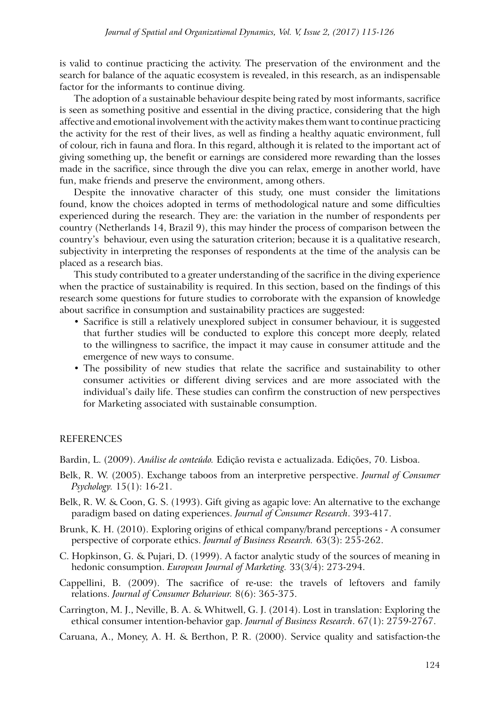is valid to continue practicing the activity. The preservation of the environment and the search for balance of the aquatic ecosystem is revealed, in this research, as an indispensable factor for the informants to continue diving.

The adoption of a sustainable behaviour despite being rated by most informants, sacrifice is seen as something positive and essential in the diving practice, considering that the high affective and emotional involvement with the activity makes them want to continue practicing the activity for the rest of their lives, as well as finding a healthy aquatic environment, full of colour, rich in fauna and flora. In this regard, although it is related to the important act of giving something up, the benefit or earnings are considered more rewarding than the losses made in the sacrifice, since through the dive you can relax, emerge in another world, have fun, make friends and preserve the environment, among others.

Despite the innovative character of this study, one must consider the limitations found, know the choices adopted in terms of methodological nature and some difficulties experienced during the research. They are: the variation in the number of respondents per country (Netherlands 14, Brazil 9), this may hinder the process of comparison between the country's behaviour, even using the saturation criterion; because it is a qualitative research, subjectivity in interpreting the responses of respondents at the time of the analysis can be placed as a research bias.

This study contributed to a greater understanding of the sacrifice in the diving experience when the practice of sustainability is required. In this section, based on the findings of this research some questions for future studies to corroborate with the expansion of knowledge about sacrifice in consumption and sustainability practices are suggested:

- Sacrifice is still a relatively unexplored subject in consumer behaviour, it is suggested that further studies will be conducted to explore this concept more deeply, related to the willingness to sacrifice, the impact it may cause in consumer attitude and the emergence of new ways to consume.
- The possibility of new studies that relate the sacrifice and sustainability to other consumer activities or different diving services and are more associated with the individual's daily life. These studies can confirm the construction of new perspectives for Marketing associated with sustainable consumption.

## **REFERENCES**

Bardin, L. (2009). *Análise de conteúdo.* Edição revista e actualizada. Edições, 70. Lisboa.

- Belk, R. W. (2005). Exchange taboos from an interpretive perspective. *Journal of Consumer Psychology.* 15(1): 16-21.
- Belk, R. W. & Coon, G. S. (1993). Gift giving as agapic love: An alternative to the exchange paradigm based on dating experiences. *Journal of Consumer Research*. 393-417.
- Brunk, K. H. (2010). Exploring origins of ethical company/brand perceptions A consumer perspective of corporate ethics. *Journal of Business Research.* 63(3): 255-262.
- C. Hopkinson, G. & Pujari, D. (1999). A factor analytic study of the sources of meaning in hedonic consumption. *European Journal of Marketing.* 33(3/4): 273-294.
- Cappellini, B. (2009). The sacrifice of re-use: the travels of leftovers and family relations. *Journal of Consumer Behaviour.* 8(6): 365-375.
- Carrington, M. J., Neville, B. A. & Whitwell, G. J. (2014). Lost in translation: Exploring the ethical consumer intention-behavior gap. *Journal of Business Research*. 67(1): 2759-2767.

Caruana, A., Money, A. H. & Berthon, P. R. (2000). Service quality and satisfaction-the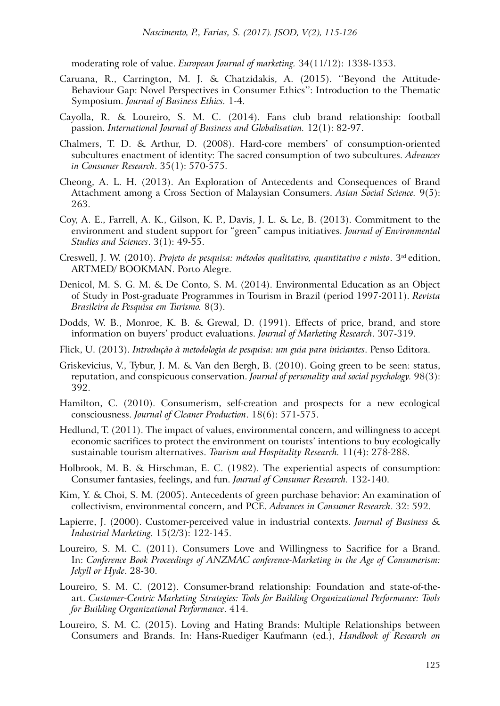moderating role of value. *European Journal of marketing.* 34(11/12): 1338-1353.

- Caruana, R., Carrington, M. J. & Chatzidakis, A. (2015). ''Beyond the Attitude-Behaviour Gap: Novel Perspectives in Consumer Ethics'': Introduction to the Thematic Symposium. *Journal of Business Ethics.* 1-4.
- Cayolla, R. & Loureiro, S. M. C. (2014). Fans club brand relationship: football passion. *International Journal of Business and Globalisation.* 12(1): 82-97.
- Chalmers, T. D. & Arthur, D. (2008). Hard-core members' of consumption-oriented subcultures enactment of identity: The sacred consumption of two subcultures. *Advances in Consumer Research*. 35(1): 570-575.
- Cheong, A. L. H. (2013). An Exploration of Antecedents and Consequences of Brand Attachment among a Cross Section of Malaysian Consumers. *Asian Social Science.* 9(5): 263.
- Coy, A. E., Farrell, A. K., Gilson, K. P., Davis, J. L. & Le, B. (2013). Commitment to the environment and student support for "green" campus initiatives. *Journal of Environmental Studies and Sciences*. 3(1): 49-55.
- Creswell, J. W. (2010). *Projeto de pesquisa: métodos qualitativo, quantitativo e misto*. 3rd edition, ARTMED/ BOOKMAN. Porto Alegre.
- Denicol, M. S. G. M. & De Conto, S. M. (2014). Environmental Education as an Object of Study in Post-graduate Programmes in Tourism in Brazil (period 1997-2011). *Revista Brasileira de Pesquisa em Turismo.* 8(3).
- Dodds, W. B., Monroe, K. B. & Grewal, D. (1991). Effects of price, brand, and store information on buyers' product evaluations. *Journal of Marketing Research*. 307-319.
- Flick, U. (2013). *Introdução à metodologia de pesquisa: um guia para iniciantes*. Penso Editora.
- Griskevicius, V., Tybur, J. M. & Van den Bergh, B. (2010). Going green to be seen: status, reputation, and conspicuous conservation. *Journal of personality and social psychology.* 98(3): 392.
- Hamilton, C. (2010). Consumerism, self-creation and prospects for a new ecological consciousness. *Journal of Cleaner Production*. 18(6): 571-575.
- Hedlund, T. (2011). The impact of values, environmental concern, and willingness to accept economic sacrifices to protect the environment on tourists' intentions to buy ecologically sustainable tourism alternatives. *Tourism and Hospitality Research.* 11(4): 278-288.
- Holbrook, M. B. & Hirschman, E. C. (1982). The experiential aspects of consumption: Consumer fantasies, feelings, and fun. *Journal of Consumer Research.* 132-140.
- Kim, Y. & Choi, S. M. (2005). Antecedents of green purchase behavior: An examination of collectivism, environmental concern, and PCE. *Advances in Consumer Research*. 32: 592.
- Lapierre, J. (2000). Customer-perceived value in industrial contexts. *Journal of Business & Industrial Marketing.* 15(2/3): 122-145.
- Loureiro, S. M. C. (2011). Consumers Love and Willingness to Sacrifice for a Brand. In: *Conference Book Proceedings of ANZMAC conference-Marketing in the Age of Consumerism: Jekyll or Hyde*. 28-30.
- Loureiro, S. M. C. (2012). Consumer-brand relationship: Foundation and state-of-theart. *Customer-Centric Marketing Strategies: Tools for Building Organizational Performance: Tools for Building Organizational Performance*. 414.
- Loureiro, S. M. C. (2015). Loving and Hating Brands: Multiple Relationships between Consumers and Brands. In: Hans-Ruediger Kaufmann (ed.), *Handbook of Research on*